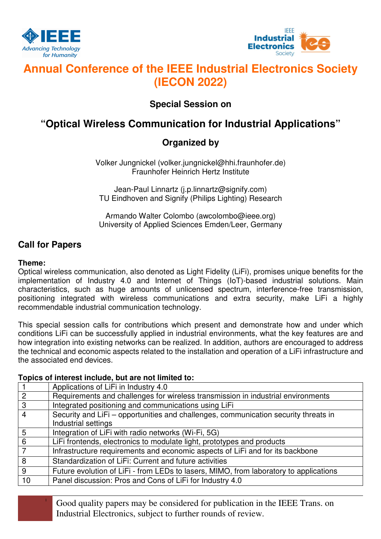



# **Annual Conference of the IEEE Industrial Electronics Society (IECON 2022)**

### **Special Session on**

## **"Optical Wireless Communication for Industrial Applications"**

### **Organized by**

Volker Jungnickel (volker.jungnickel@hhi.fraunhofer.de) Fraunhofer Heinrich Hertz Institute

Jean-Paul Linnartz (j.p.linnartz@signify.com) TU Eindhoven and Signify (Philips Lighting) Research

Armando Walter Colombo (awcolombo@ieee.org) University of Applied Sciences Emden/Leer, Germany

### **Call for Papers**

### **Theme:**

Optical wireless communication, also denoted as Light Fidelity (LiFi), promises unique benefits for the implementation of Industry 4.0 and Internet of Things (IoT)-based industrial solutions. Main characteristics, such as huge amounts of unlicensed spectrum, interference-free transmission, positioning integrated with wireless communications and extra security, make LiFi a highly recommendable industrial communication technology.

This special session calls for contributions which present and demonstrate how and under which conditions LiFi can be successfully applied in industrial environments, what the key features are and how integration into existing networks can be realized. In addition, authors are encouraged to address the technical and economic aspects related to the installation and operation of a LiFi infrastructure and the associated end devices.

#### **Topics of interest include, but are not limited to:**

|                | Applications of LiFi in Industry 4.0                                                  |
|----------------|---------------------------------------------------------------------------------------|
| 2              | Requirements and challenges for wireless transmission in industrial environments      |
| 3              | Integrated positioning and communications using LiFi                                  |
| $\overline{4}$ | Security and LiFi - opportunities and challenges, communication security threats in   |
|                | Industrial settings                                                                   |
| 5              | Integration of LiFi with radio networks (Wi-Fi, 5G)                                   |
| 6              | LiFi frontends, electronics to modulate light, prototypes and products                |
|                | Infrastructure requirements and economic aspects of LiFi and for its backbone         |
| 8              | Standardization of LiFi: Current and future activities                                |
| 9              | Future evolution of LiFi - from LEDs to lasers, MIMO, from laboratory to applications |
| 10             | Panel discussion: Pros and Cons of LiFi for Industry 4.0                              |
|                |                                                                                       |

<sup>1</sup> Good quality papers may be considered for publication in the IEEE Trans. on Industrial Electronics, subject to further rounds of review.